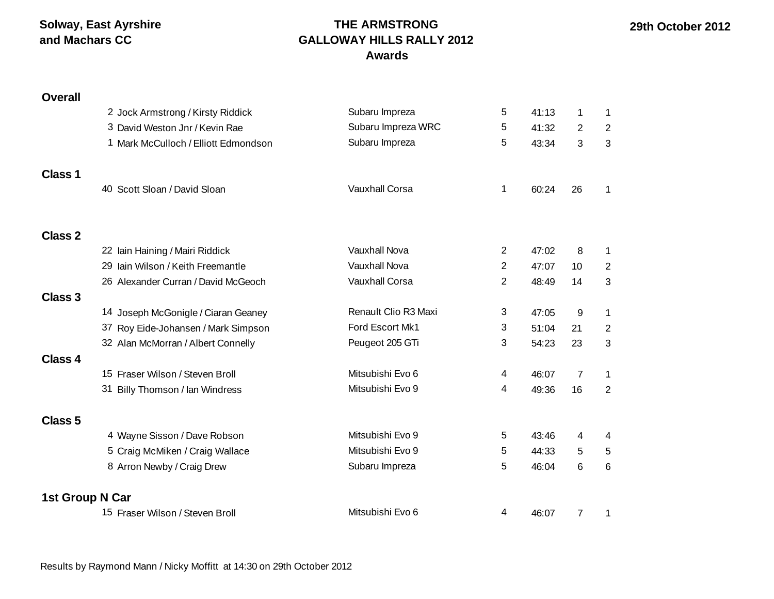**Solway, East Ayrshire and Machars CC**

#### **THE ARMSTRONG GALLOWAY HILLS RALLY 2012 Awards**

# **Overall** 2 Jock Armstrong / Kirsty Riddick Subaru Impreza 5 41:13 1 1 3 David Weston Jnr / Kevin Rae  $\sim$  Subaru Impreza WRC  $\sim$  5 41:32 2 2 1 Mark McCulloch / Elliott Edmondson Subaru Impreza 5 43:34 3 3 **Class 1** 40 Scott Sloan / David Sloan Vauxhall Corsa 1 60:24 26 1 **Class 2** 22 Iain Haining / Mairi Riddick Vauxhall Nova 2 47:02 8 1 29 Iain Wilson / Keith Freemantle Vauxhall Nova 2 47:07 10 2 26 Alexander Curran / David McGeoch Vauxhall Corsa 2 48:49 14 3 **Class 3** 14 Joseph McGonigle / Ciaran Geaney **Renault Clio R3 Maxi** 3 47:05 9 1 37 Roy Eide-Johansen / Mark Simpson Ford Escort Mk1 3 51:04 21 2 32 Alan McMorran / Albert Connelly **Peugeot 205 GTi** 3 54:23 23 3 **Class 4** 15 Fraser Wilson / Steven Broll **Mitsubishi** Evo 6 **4 46:07 7** 1 31 Billy Thomson / Ian Windress Mitsubishi Evo 9 4 49:36 16 2 **Class 5** 4 Wayne Sisson / Dave Robson Mitsubishi Evo 9 43:46 4 4 5 Craig McMiken / Craig Wallace Mitsubishi Evo 9 5 44:33 5 5 5 8 Arron Newby / Craig Drew **Subaru Impreza** 5 46:04 6 6 **1st Group N Car** 15 Fraser Wilson / Steven Broll **Mitsubishi Evo 6** 4 46:07 7 1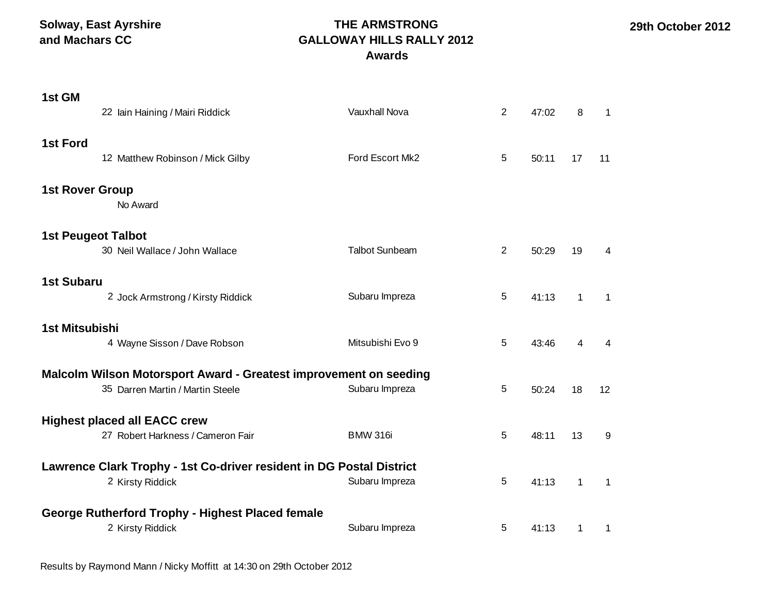**Solway, East Ayrshire and Machars CC**

## **THE ARMSTRONG GALLOWAY HILLS RALLY 2012 Awards**

| 1st GM                                                                                                                   | 22 Iain Haining / Mairi Riddick                                                                       | Vauxhall Nova         | 2              | 47:02 | 8            | 1            |
|--------------------------------------------------------------------------------------------------------------------------|-------------------------------------------------------------------------------------------------------|-----------------------|----------------|-------|--------------|--------------|
| <b>1st Ford</b>                                                                                                          | 12 Matthew Robinson / Mick Gilby                                                                      | Ford Escort Mk2       | 5              | 50:11 | 17           | 11           |
| <b>1st Rover Group</b>                                                                                                   | No Award                                                                                              |                       |                |       |              |              |
| <b>1st Peugeot Talbot</b>                                                                                                | 30 Neil Wallace / John Wallace                                                                        | <b>Talbot Sunbeam</b> | $\overline{2}$ | 50:29 | 19           | 4            |
| <b>1st Subaru</b>                                                                                                        | 2 Jock Armstrong / Kirsty Riddick                                                                     | Subaru Impreza        | 5              | 41:13 | $\mathbf{1}$ | $\mathbf{1}$ |
| <b>1st Mitsubishi</b>                                                                                                    | 4 Wayne Sisson / Dave Robson                                                                          | Mitsubishi Evo 9      | 5              | 43:46 | 4            | 4            |
|                                                                                                                          | Malcolm Wilson Motorsport Award - Greatest improvement on seeding<br>35 Darren Martin / Martin Steele | Subaru Impreza        | 5              | 50:24 | 18           | 12           |
|                                                                                                                          | <b>Highest placed all EACC crew</b><br>27 Robert Harkness / Cameron Fair                              | <b>BMW 316i</b>       | 5              | 48:11 | 13           | 9            |
| Lawrence Clark Trophy - 1st Co-driver resident in DG Postal District<br>Subaru Impreza<br>5<br>2 Kirsty Riddick<br>41:13 |                                                                                                       |                       |                |       |              |              |
|                                                                                                                          | <b>George Rutherford Trophy - Highest Placed female</b><br>2 Kirsty Riddick                           | Subaru Impreza        | 5              | 41:13 | $\mathbf 1$  | -1           |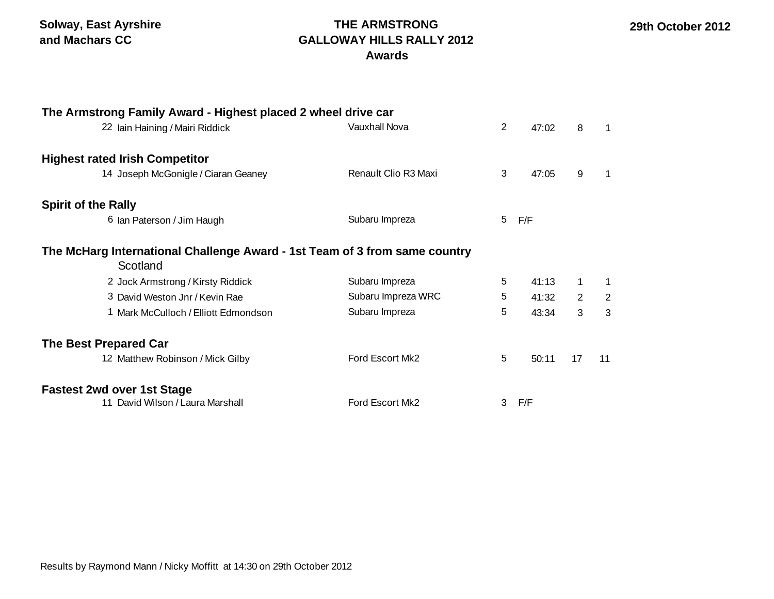### **THE ARMSTRONG GALLOWAY HILLS RALLY 2012 Awards**

| The Armstrong Family Award - Highest placed 2 wheel drive car                          |                      |   |       |    |    |
|----------------------------------------------------------------------------------------|----------------------|---|-------|----|----|
| 22 Iain Haining / Mairi Riddick                                                        | <b>Vauxhall Nova</b> |   |       | 8  | 1  |
| <b>Highest rated Irish Competitor</b>                                                  |                      |   |       |    |    |
| 14 Joseph McGonigle / Ciaran Geaney                                                    | Renault Clio R3 Maxi | 3 | 47:05 | 9  |    |
| <b>Spirit of the Rally</b>                                                             |                      |   |       |    |    |
| 6 Ian Paterson / Jim Haugh                                                             | Subaru Impreza       | 5 | F/F   |    |    |
| The McHarg International Challenge Award - 1st Team of 3 from same country<br>Scotland |                      |   |       |    |    |
| 2 Jock Armstrong / Kirsty Riddick                                                      | Subaru Impreza       | 5 | 41:13 | 1  | 1  |
| 3 David Weston Jnr / Kevin Rae                                                         | Subaru Impreza WRC   | 5 | 41:32 | 2  | 2  |
| 1 Mark McCulloch / Elliott Edmondson                                                   | Subaru Impreza       | 5 | 43:34 | 3  | 3  |
| <b>The Best Prepared Car</b>                                                           |                      |   |       |    |    |
| 12 Matthew Robinson / Mick Gilby                                                       | Ford Escort Mk2      | 5 | 50:11 | 17 | 11 |
| <b>Fastest 2wd over 1st Stage</b>                                                      |                      |   |       |    |    |
| 11 David Wilson / Laura Marshall                                                       | Ford Escort Mk2      | 3 | F/F   |    |    |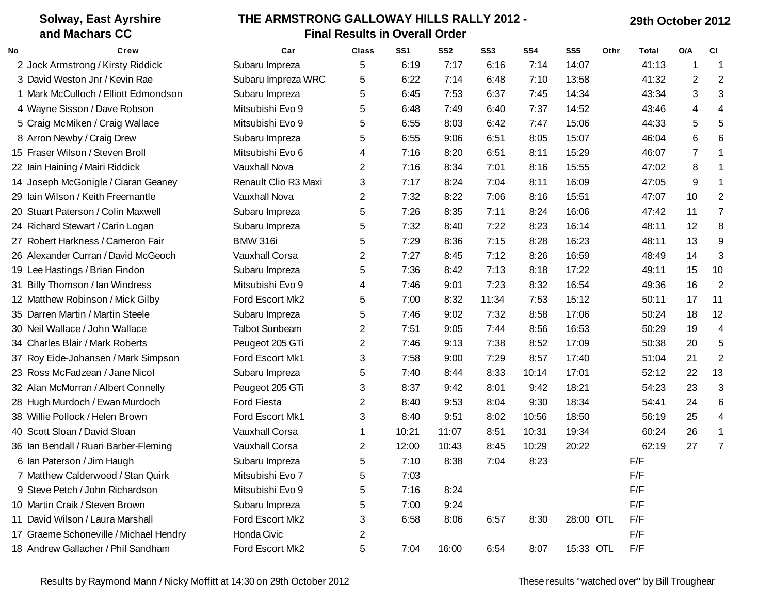#### **Solway, East Ayrshire and Machars CC THE ARMSTRONG GALLOWAY HILLS RALLY 2012 - Final Results in Overall Order 29th October 2012 No Crew Car Class SS1 SS2 SS3 SS4 SS5 Othr Total O/A Cl** Jock Armstrong / Kirsty Riddick Subaru Impreza 5 6:19 7:17 6:16 7:14 14:07 41:13 1 1 David Weston Jnr / Kevin Rae Subaru Impreza WRC 5 6:22 7:14 6:48 7:10 13:58 41:32 2 2 Mark McCulloch / Elliott Edmondson Subaru Impreza 5 6:45 7:53 6:37 7:45 14:34 43:34 3 3 Wayne Sisson / Dave Robson Mitsubishi Evo 9 5 6:48 7:49 6:40 7:37 14:52 43:46 4 4 Craig McMiken / Craig Wallace Mitsubishi Evo 9 5 6:55 8:03 6:42 7:47 15:06 44:33 5 5 Arron Newby / Craig Drew Subaru Impreza 5 6:55 9:06 6:51 8:05 15:07 46:04 6 6 Fraser Wilson / Steven Broll Mitsubishi Evo 6 4 7:16 8:20 6:51 8:11 15:29 46:07 7 1 Iain Haining / Mairi Riddick Vauxhall Nova 2 7:16 8:34 7:01 8:16 15:55 47:02 8 1 Joseph McGonigle / Ciaran Geaney Renault Clio R3 Maxi 3 7:17 8:24 7:04 8:11 16:09 47:05 9 1 Iain Wilson / Keith Freemantle Vauxhall Nova 2 7:32 8:22 7:06 8:16 15:51 47:07 10 2 Stuart Paterson / Colin Maxwell Subaru Impreza 5 7:26 8:35 7:11 8:24 16:06 47:42 11 7 Richard Stewart / Carin Logan Subaru Impreza 5 7:32 8:40 7:22 8:23 16:14 48:11 12 8 Robert Harkness / Cameron Fair BMW 316i 5 7:29 8:36 7:15 8:28 16:23 48:11 13 9 Alexander Curran / David McGeoch Vauxhall Corsa 2 7:27 8:45 7:12 8:26 16:59 48:49 14 3 Lee Hastings / Brian Findon Subaru Impreza 5 7:36 8:42 7:13 8:18 17:22 49:11 15 10 31 Billy Thomson / Ian Windress 6 2 Mitsubishi Evo 9 4 2 4 7:46 4 7:46 7:23 4:32 16:54 49:36 16 2 Matthew Robinson / Mick Gilby Ford Escort Mk2 5 7:00 8:32 11:34 7:53 15:12 50:11 17 11 Darren Martin / Martin Steele Subaru Impreza 5 7:46 9:02 7:32 8:58 17:06 50:24 18 12 Neil Wallace / John Wallace Talbot Sunbeam 2 7:51 9:05 7:44 8:56 16:53 50:29 19 4 Charles Blair / Mark Roberts Peugeot 205 GTi 2 7:46 9:13 7:38 8:52 17:09 50:38 20 5 37 Roy Eide-Johansen / Mark Simpson Ford Escort Mk1 3 7:58 9:00 7:29 8:57 17:40 51:04 21 2 Ross McFadzean / Jane Nicol Subaru Impreza 5 7:40 8:44 8:33 10:14 17:01 52:12 22 13 Alan McMorran / Albert Connelly Peugeot 205 GTi 3 8:37 9:42 8:01 9:42 18:21 54:23 23 3 Hugh Murdoch / Ewan Murdoch Ford Fiesta 2 8:40 9:53 8:04 9:30 18:34 54:41 24 6 Willie Pollock / Helen Brown Ford Escort Mk1 3 8:40 9:51 8:02 10:56 18:50 56:19 25 4 Scott Sloan / David Sloan Vauxhall Corsa 1 10:21 11:07 8:51 10:31 19:34 60:24 26 1 Ian Bendall / Ruari Barber-Fleming Vauxhall Corsa 2 12:00 10:43 8:45 10:29 20:22 62:19 27 7 Ian Paterson / Jim Haugh Subaru Impreza 5 7:10 8:38 7:04 8:23 F/F 7 Matthew Calderwood / Stan Quirk Mitsubishi Evo 7 5 7:03 7:03 F/F Steve Petch / John Richardson Mitsubishi Evo 9 5 7:16 8:24 F/F 10 Martin Craik / Steven Brown Subaru Impreza and the Subaru Impreza control of the Subaru Impreza control of the Subaru Impreza control of the Subaru Impreza control of the Subaru Impreza control of the Subaru Impreza con David Wilson / Laura Marshall Ford Escort Mk2 3 6:58 8:06 6:57 8:30 28:00 OTL F/F 17 Graeme Schoneville / Michael Hendry Honda Civic 2 2 2 2 2 F/F Andrew Gallacher / Phil Sandham Ford Escort Mk2 5 7:04 16:00 6:54 8:07 15:33 OTL F/F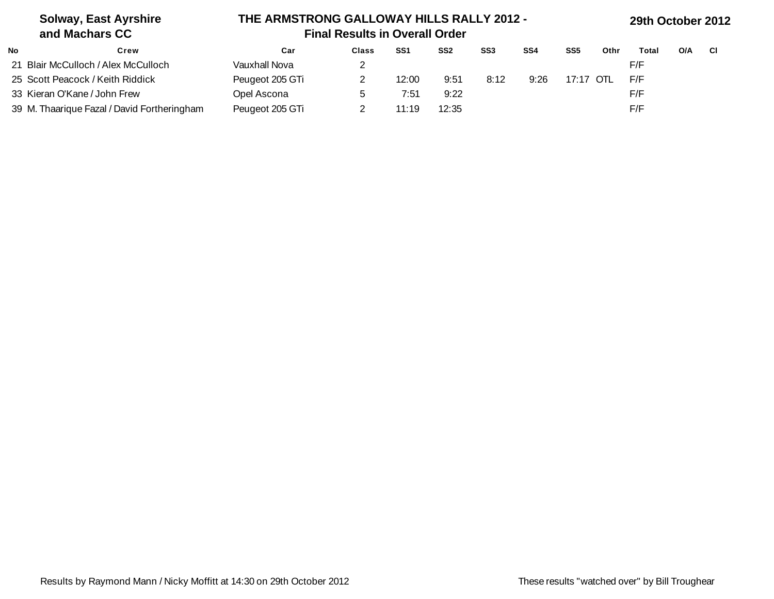| <b>Solway, East Ayrshire</b><br>and Machars CC |                 | THE ARMSTRONG GALLOWAY HILLS RALLY 2012 -<br><b>Final Results in Overall Order</b> |                 |                 |      |      |                 |      |       | 29th October 2012 |      |  |  |  |
|------------------------------------------------|-----------------|------------------------------------------------------------------------------------|-----------------|-----------------|------|------|-----------------|------|-------|-------------------|------|--|--|--|
| <b>No</b><br>Crew                              | Car             | <b>Class</b>                                                                       | SS <sub>1</sub> | SS <sub>2</sub> | SS3  | SS4  | SS <sub>5</sub> | Othr | Total | O/A               | - CI |  |  |  |
| 21 Blair McCulloch / Alex McCulloch            | Vauxhall Nova   |                                                                                    |                 |                 |      |      |                 |      | F/F   |                   |      |  |  |  |
| 25 Scott Peacock / Keith Riddick               | Peugeot 205 GTi |                                                                                    | 12:00           | 9:51            | 8:12 | 9:26 | 17:17 OTL       |      | F/F   |                   |      |  |  |  |
| 33 Kieran O'Kane / John Frew                   | Opel Ascona     |                                                                                    | 7:51            | 9:22            |      |      |                 |      | F/F   |                   |      |  |  |  |
| 39 M. Thaarique Fazal / David Fortheringham    | Peugeot 205 GTi |                                                                                    | 11:19           | 12:35           |      |      |                 |      | F/F   |                   |      |  |  |  |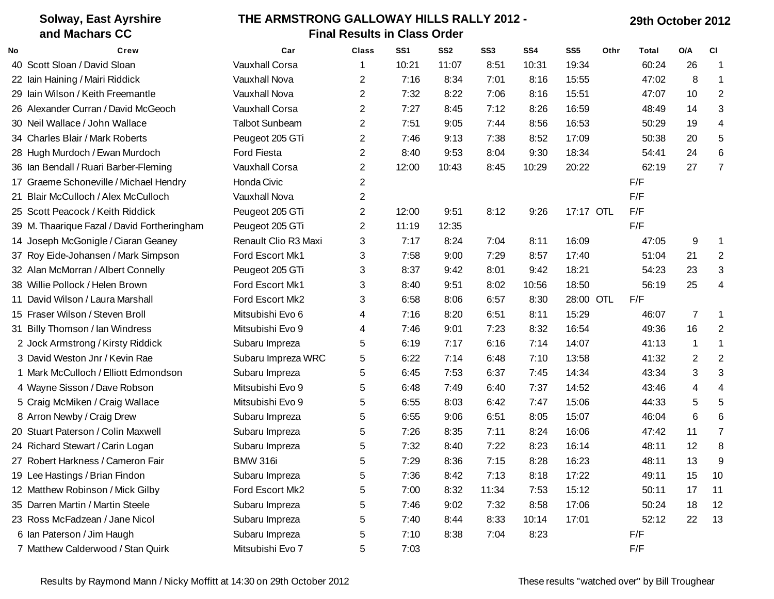| <b>Solway, East Ayrshire</b> |                                             | THE ARMSTRONG GALLOWAY HILLS RALLY 2012 - |                         |                 |                 |                 |       |                 |      | 29th October 2012 |                |                         |  |  |
|------------------------------|---------------------------------------------|-------------------------------------------|-------------------------|-----------------|-----------------|-----------------|-------|-----------------|------|-------------------|----------------|-------------------------|--|--|
|                              | and Machars CC                              | <b>Final Results in Class Order</b>       |                         |                 |                 |                 |       |                 |      |                   |                |                         |  |  |
| No                           | Crew                                        | Car                                       | <b>Class</b>            | SS <sub>1</sub> | SS <sub>2</sub> | SS <sub>3</sub> | SS4   | SS <sub>5</sub> | Othr | Total             | O/A            | <b>CI</b>               |  |  |
|                              | 40 Scott Sloan / David Sloan                | <b>Vauxhall Corsa</b>                     | 1                       | 10:21           | 11:07           | 8:51            | 10:31 | 19:34           |      | 60:24             | 26             | $\mathbf 1$             |  |  |
|                              | 22 Iain Haining / Mairi Riddick             | Vauxhall Nova                             | 2                       | 7:16            | 8:34            | 7:01            | 8:16  | 15:55           |      | 47:02             | 8              | -1                      |  |  |
|                              | 29 Iain Wilson / Keith Freemantle           | Vauxhall Nova                             | 2                       | 7:32            | 8:22            | 7:06            | 8:16  | 15:51           |      | 47:07             | 10             | $\overline{2}$          |  |  |
|                              | 26 Alexander Curran / David McGeoch         | <b>Vauxhall Corsa</b>                     | 2                       | 7:27            | 8:45            | 7:12            | 8:26  | 16:59           |      | 48:49             | 14             | 3                       |  |  |
|                              | 30 Neil Wallace / John Wallace              | <b>Talbot Sunbeam</b>                     | 2                       | 7:51            | 9:05            | 7:44            | 8:56  | 16:53           |      | 50:29             | 19             | $\overline{\mathbf{4}}$ |  |  |
|                              | 34 Charles Blair / Mark Roberts             | Peugeot 205 GTi                           | 2                       | 7:46            | 9:13            | 7:38            | 8:52  | 17:09           |      | 50:38             | 20             | 5                       |  |  |
|                              | 28 Hugh Murdoch / Ewan Murdoch              | <b>Ford Fiesta</b>                        | 2                       | 8:40            | 9:53            | 8:04            | 9:30  | 18:34           |      | 54:41             | 24             | $\,6$                   |  |  |
|                              | 36 Ian Bendall / Ruari Barber-Fleming       | <b>Vauxhall Corsa</b>                     | 2                       | 12:00           | 10:43           | 8:45            | 10:29 | 20:22           |      | 62:19             | 27             | $\overline{7}$          |  |  |
|                              | 17 Graeme Schoneville / Michael Hendry      | Honda Civic                               | $\overline{2}$          |                 |                 |                 |       |                 |      | F/F               |                |                         |  |  |
|                              | 21 Blair McCulloch / Alex McCulloch         | Vauxhall Nova                             | 2                       |                 |                 |                 |       |                 |      | F/F               |                |                         |  |  |
|                              | 25 Scott Peacock / Keith Riddick            | Peugeot 205 GTi                           | $\overline{\mathbf{c}}$ | 12:00           | 9:51            | 8:12            | 9:26  | 17:17 OTL       |      | F/F               |                |                         |  |  |
|                              | 39 M. Thaarique Fazal / David Fortheringham | Peugeot 205 GTi                           | 2                       | 11:19           | 12:35           |                 |       |                 |      | F/F               |                |                         |  |  |
|                              | 14 Joseph McGonigle / Ciaran Geaney         | Renault Clio R3 Maxi                      | 3                       | 7:17            | 8:24            | 7:04            | 8:11  | 16:09           |      | 47:05             | 9              | -1                      |  |  |
|                              | 37 Roy Eide-Johansen / Mark Simpson         | Ford Escort Mk1                           | 3                       | 7:58            | 9:00            | 7:29            | 8:57  | 17:40           |      | 51:04             | 21             | $\overline{2}$          |  |  |
|                              | 32 Alan McMorran / Albert Connelly          | Peugeot 205 GTi                           | 3                       | 8:37            | 9:42            | 8:01            | 9:42  | 18:21           |      | 54:23             | 23             | 3                       |  |  |
|                              | 38 Willie Pollock / Helen Brown             | Ford Escort Mk1                           | 3                       | 8:40            | 9:51            | 8:02            | 10:56 | 18:50           |      | 56:19             | 25             | 4                       |  |  |
|                              | 11 David Wilson / Laura Marshall            | Ford Escort Mk2                           | 3                       | 6:58            | 8:06            | 6:57            | 8:30  | 28:00 OTL       |      | F/F               |                |                         |  |  |
|                              | 15 Fraser Wilson / Steven Broll             | Mitsubishi Evo 6                          | 4                       | 7:16            | 8:20            | 6:51            | 8:11  | 15:29           |      | 46:07             | $\overline{7}$ | $\mathbf{1}$            |  |  |
|                              | 31 Billy Thomson / lan Windress             | Mitsubishi Evo 9                          | 4                       | 7:46            | 9:01            | 7:23            | 8:32  | 16:54           |      | 49:36             | 16             | $\overline{2}$          |  |  |
|                              | 2 Jock Armstrong / Kirsty Riddick           | Subaru Impreza                            | 5                       | 6:19            | 7:17            | 6:16            | 7:14  | 14:07           |      | 41:13             | $\mathbf{1}$   | $\mathbf 1$             |  |  |
|                              | 3 David Weston Jnr / Kevin Rae              | Subaru Impreza WRC                        | 5                       | 6:22            | 7:14            | 6:48            | 7:10  | 13:58           |      | 41:32             | 2              | 2                       |  |  |
|                              | 1 Mark McCulloch / Elliott Edmondson        | Subaru Impreza                            | 5                       | 6:45            | 7:53            | 6:37            | 7:45  | 14:34           |      | 43:34             | 3              | 3                       |  |  |
|                              | 4 Wayne Sisson / Dave Robson                | Mitsubishi Evo 9                          | 5                       | 6:48            | 7:49            | 6:40            | 7:37  | 14:52           |      | 43:46             | 4              | 4                       |  |  |
|                              | 5 Craig McMiken / Craig Wallace             | Mitsubishi Evo 9                          | 5                       | 6:55            | 8:03            | 6:42            | 7:47  | 15:06           |      | 44:33             | 5              | 5                       |  |  |
|                              | 8 Arron Newby / Craig Drew                  | Subaru Impreza                            | 5                       | 6:55            | 9:06            | 6:51            | 8:05  | 15:07           |      | 46:04             | 6              | 6                       |  |  |
|                              | 20 Stuart Paterson / Colin Maxwell          | Subaru Impreza                            | 5                       | 7:26            | 8:35            | 7:11            | 8:24  | 16:06           |      | 47:42             | 11             | 7                       |  |  |
|                              | 24 Richard Stewart / Carin Logan            | Subaru Impreza                            | 5                       | 7:32            | 8:40            | 7:22            | 8:23  | 16:14           |      | 48:11             | 12             | 8                       |  |  |
|                              | 27 Robert Harkness / Cameron Fair           | <b>BMW 316i</b>                           | 5                       | 7:29            | 8:36            | 7:15            | 8:28  | 16:23           |      | 48:11             | 13             | 9                       |  |  |
|                              | 19 Lee Hastings / Brian Findon              | Subaru Impreza                            | 5                       | 7:36            | 8:42            | 7:13            | 8:18  | 17:22           |      | 49:11             | 15             | 10                      |  |  |
|                              | 12 Matthew Robinson / Mick Gilby            | Ford Escort Mk2                           | 5                       | 7:00            | 8:32            | 11:34           | 7:53  | 15:12           |      | 50:11             | 17             | 11                      |  |  |
|                              | 35 Darren Martin / Martin Steele            | Subaru Impreza                            | 5                       | 7:46            | 9:02            | 7:32            | 8:58  | 17:06           |      | 50:24             | 18             | 12                      |  |  |
|                              | 23 Ross McFadzean / Jane Nicol              | Subaru Impreza                            | 5                       | 7:40            | 8:44            | 8:33            | 10:14 | 17:01           |      | 52:12             | 22             | 13                      |  |  |
|                              | 6 Ian Paterson / Jim Haugh                  | Subaru Impreza                            | 5                       | 7:10            | 8:38            | 7:04            | 8:23  |                 |      | F/F               |                |                         |  |  |
|                              | 7 Matthew Calderwood / Stan Quirk           | Mitsubishi Evo 7                          | 5                       | 7:03            |                 |                 |       |                 |      | F/F               |                |                         |  |  |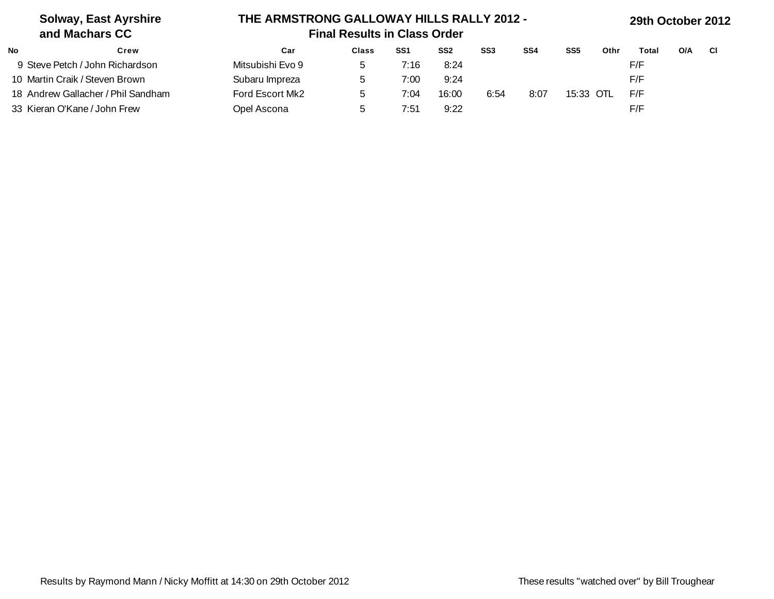| <b>Solway, East Ayrshire</b><br>and Machars CC | THE ARMSTRONG GALLOWAY HILLS RALLY 2012 -<br><b>Final Results in Class Order</b> |              |                 |                 |                 |                 |                 |      | 29th October 2012 |     |     |  |
|------------------------------------------------|----------------------------------------------------------------------------------|--------------|-----------------|-----------------|-----------------|-----------------|-----------------|------|-------------------|-----|-----|--|
| No<br>Crew                                     | Car                                                                              | <b>Class</b> | SS <sub>1</sub> | SS <sub>2</sub> | SS <sub>3</sub> | SS <sub>4</sub> | SS <sub>5</sub> | Othr | Total             | O/A | -CI |  |
| 9 Steve Petch / John Richardson                | Mitsubishi Evo 9                                                                 |              | 7:16            | 8:24            |                 |                 |                 |      | F/F               |     |     |  |
| 10 Martin Craik / Steven Brown                 | Subaru Impreza                                                                   |              | 7:00            | 9:24            |                 |                 |                 |      | F/F               |     |     |  |
| 18 Andrew Gallacher / Phil Sandham             | Ford Escort Mk2                                                                  |              | 7:04            | 16:00           | 6:54            | 8:07            | 15:33 OTL       |      | F/F               |     |     |  |
| 33 Kieran O'Kane / John Frew                   | Opel Ascona                                                                      |              | 7:51            | 9:22            |                 |                 |                 |      | F/F               |     |     |  |